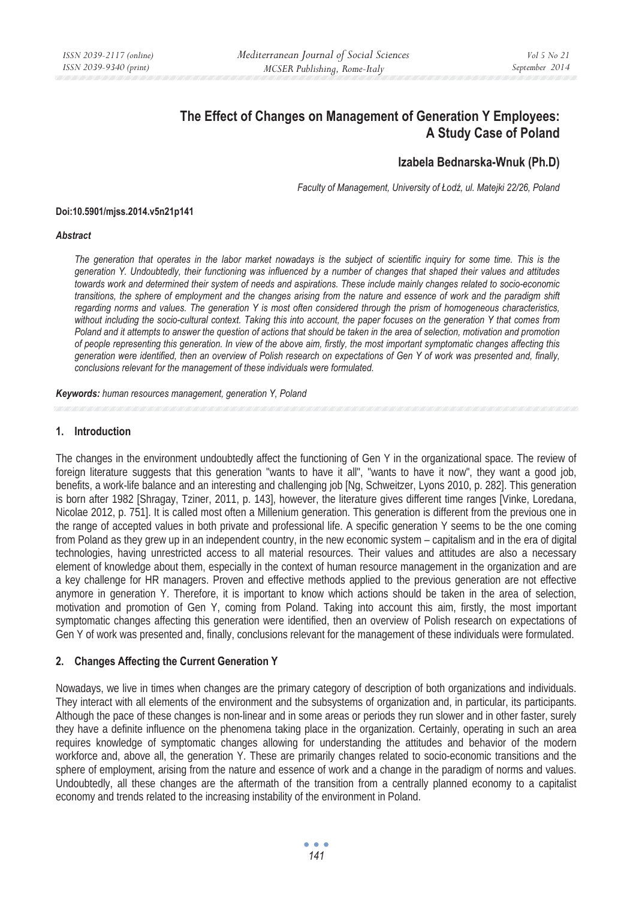# **The Effect of Changes on Management of Generation Y Employees: A Study Case of Poland**

# **Izabela Bednarska-Wnuk (Ph.D)**

*Faculty of Management, University of àodĨ, ul. Matejki 22/26, Poland* 

#### **Doi:10.5901/mjss.2014.v5n21p141**

#### *Abstract*

*The generation that operates in the labor market nowadays is the subject of scientific inquiry for some time. This is the generation Y. Undoubtedly, their functioning was influenced by a number of changes that shaped their values and attitudes towards work and determined their system of needs and aspirations. These include mainly changes related to socio-economic transitions, the sphere of employment and the changes arising from the nature and essence of work and the paradigm shift regarding norms and values. The generation Y is most often considered through the prism of homogeneous characteristics, without including the socio-cultural context. Taking this into account, the paper focuses on the generation Y that comes from Poland and it attempts to answer the question of actions that should be taken in the area of selection, motivation and promotion of people representing this generation. In view of the above aim, firstly, the most important symptomatic changes affecting this generation were identified, then an overview of Polish research on expectations of Gen Y of work was presented and, finally, conclusions relevant for the management of these individuals were formulated.* 

*Keywords: human resources management, generation Y, Poland*

### **1. Introduction**

The changes in the environment undoubtedly affect the functioning of Gen Y in the organizational space. The review of foreign literature suggests that this generation "wants to have it all", "wants to have it now", they want a good job, benefits, a work-life balance and an interesting and challenging job [Ng, Schweitzer, Lyons 2010, p. 282]. This generation is born after 1982 [Shragay, Tziner, 2011, p. 143], however, the literature gives different time ranges [Vinke, Loredana, Nicolae 2012, p. 751]. It is called most often a Millenium generation. This generation is different from the previous one in the range of accepted values in both private and professional life. A specific generation Y seems to be the one coming from Poland as they grew up in an independent country, in the new economic system – capitalism and in the era of digital technologies, having unrestricted access to all material resources. Their values and attitudes are also a necessary element of knowledge about them, especially in the context of human resource management in the organization and are a key challenge for HR managers. Proven and effective methods applied to the previous generation are not effective anymore in generation Y. Therefore, it is important to know which actions should be taken in the area of selection, motivation and promotion of Gen Y, coming from Poland. Taking into account this aim, firstly, the most important symptomatic changes affecting this generation were identified, then an overview of Polish research on expectations of Gen Y of work was presented and, finally, conclusions relevant for the management of these individuals were formulated.

## **2. Changes Affecting the Current Generation Y**

Nowadays, we live in times when changes are the primary category of description of both organizations and individuals. They interact with all elements of the environment and the subsystems of organization and, in particular, its participants. Although the pace of these changes is non-linear and in some areas or periods they run slower and in other faster, surely they have a definite influence on the phenomena taking place in the organization. Certainly, operating in such an area requires knowledge of symptomatic changes allowing for understanding the attitudes and behavior of the modern workforce and, above all, the generation Y. These are primarily changes related to socio-economic transitions and the sphere of employment, arising from the nature and essence of work and a change in the paradigm of norms and values. Undoubtedly, all these changes are the aftermath of the transition from a centrally planned economy to a capitalist economy and trends related to the increasing instability of the environment in Poland.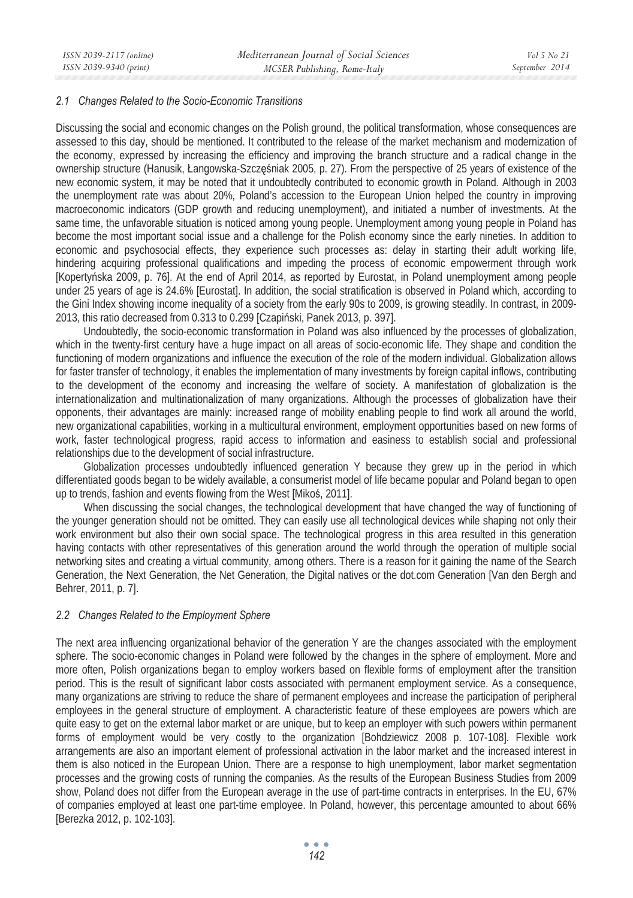## *2.1 Changes Related to the Socio-Economic Transitions*

Discussing the social and economic changes on the Polish ground, the political transformation, whose consequences are assessed to this day, should be mentioned. It contributed to the release of the market mechanism and modernization of the economy, expressed by increasing the efficiency and improving the branch structure and a radical change in the ownership structure (Hanusik, Łangowska-Szcześniak 2005, p. 27). From the perspective of 25 years of existence of the new economic system, it may be noted that it undoubtedly contributed to economic growth in Poland. Although in 2003 the unemployment rate was about 20%, Poland's accession to the European Union helped the country in improving macroeconomic indicators (GDP growth and reducing unemployment), and initiated a number of investments. At the same time, the unfavorable situation is noticed among young people. Unemployment among young people in Poland has become the most important social issue and a challenge for the Polish economy since the early nineties. In addition to economic and psychosocial effects, they experience such processes as: delay in starting their adult working life, hindering acquiring professional qualifications and impeding the process of economic empowerment through work [Kopertyńska 2009, p. 76]. At the end of April 2014, as reported by Eurostat, in Poland unemployment among people under 25 years of age is 24.6% [Eurostat]. In addition, the social stratification is observed in Poland which, according to the Gini Index showing income inequality of a society from the early 90s to 2009, is growing steadily. In contrast, in 2009- 2013, this ratio decreased from 0.313 to 0.299 [Czapiński, Panek 2013, p. 397].

Undoubtedly, the socio-economic transformation in Poland was also influenced by the processes of globalization, which in the twenty-first century have a huge impact on all areas of socio-economic life. They shape and condition the functioning of modern organizations and influence the execution of the role of the modern individual. Globalization allows for faster transfer of technology, it enables the implementation of many investments by foreign capital inflows, contributing to the development of the economy and increasing the welfare of society. A manifestation of globalization is the internationalization and multinationalization of many organizations. Although the processes of globalization have their opponents, their advantages are mainly: increased range of mobility enabling people to find work all around the world, new organizational capabilities, working in a multicultural environment, employment opportunities based on new forms of work, faster technological progress, rapid access to information and easiness to establish social and professional relationships due to the development of social infrastructure.

Globalization processes undoubtedly influenced generation Y because they grew up in the period in which differentiated goods began to be widely available, a consumerist model of life became popular and Poland began to open up to trends, fashion and events flowing from the West [MikoĞ, 2011].

When discussing the social changes, the technological development that have changed the way of functioning of the younger generation should not be omitted. They can easily use all technological devices while shaping not only their work environment but also their own social space. The technological progress in this area resulted in this generation having contacts with other representatives of this generation around the world through the operation of multiple social networking sites and creating a virtual community, among others. There is a reason for it gaining the name of the Search Generation, the Next Generation, the Net Generation, the Digital natives or the dot.com Generation [Van den Bergh and Behrer, 2011, p. 7].

# *2.2 Changes Related to the Employment Sphere*

The next area influencing organizational behavior of the generation Y are the changes associated with the employment sphere. The socio-economic changes in Poland were followed by the changes in the sphere of employment. More and more often, Polish organizations began to employ workers based on flexible forms of employment after the transition period. This is the result of significant labor costs associated with permanent employment service. As a consequence, many organizations are striving to reduce the share of permanent employees and increase the participation of peripheral employees in the general structure of employment. A characteristic feature of these employees are powers which are quite easy to get on the external labor market or are unique, but to keep an employer with such powers within permanent forms of employment would be very costly to the organization [Bohdziewicz 2008 p. 107-108]. Flexible work arrangements are also an important element of professional activation in the labor market and the increased interest in them is also noticed in the European Union. There are a response to high unemployment, labor market segmentation processes and the growing costs of running the companies. As the results of the European Business Studies from 2009 show, Poland does not differ from the European average in the use of part-time contracts in enterprises. In the EU, 67% of companies employed at least one part-time employee. In Poland, however, this percentage amounted to about 66% [Berezka 2012, p. 102-103].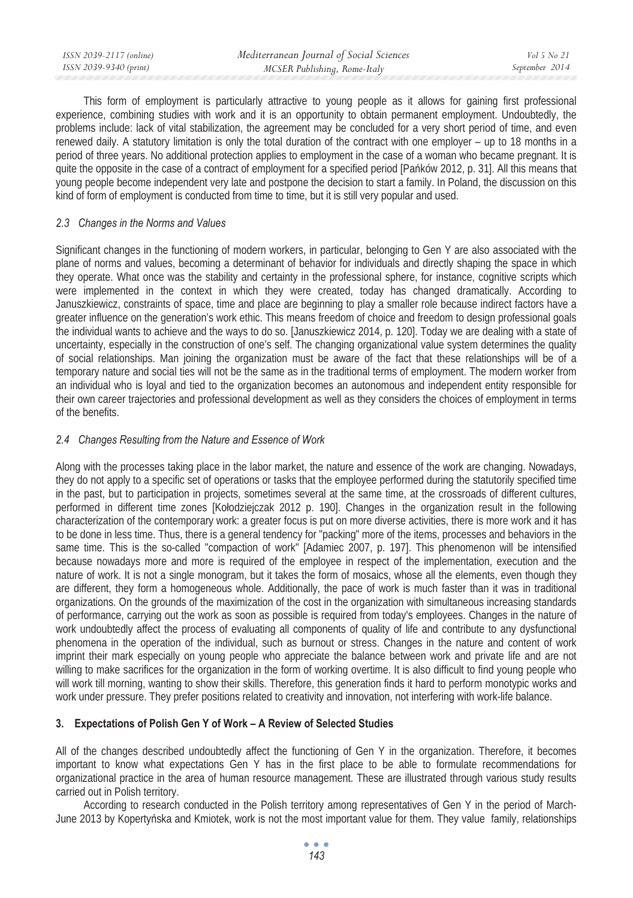| ISSN 2039-2117 (online) | Mediterranean Journal of Social Sciences | Vol 5 No 21    |
|-------------------------|------------------------------------------|----------------|
| ISSN 2039-9340 (print)  | MCSER Publishing, Rome-Italy             | September 2014 |

This form of employment is particularly attractive to young people as it allows for gaining first professional experience, combining studies with work and it is an opportunity to obtain permanent employment. Undoubtedly, the problems include: lack of vital stabilization, the agreement may be concluded for a very short period of time, and even renewed daily. A statutory limitation is only the total duration of the contract with one employer – up to 18 months in a period of three years. No additional protection applies to employment in the case of a woman who became pregnant. It is quite the opposite in the case of a contract of employment for a specified period [Pańków 2012, p. 31]. All this means that young people become independent very late and postpone the decision to start a family. In Poland, the discussion on this kind of form of employment is conducted from time to time, but it is still very popular and used.

# *2.3 Changes in the Norms and Values*

Significant changes in the functioning of modern workers, in particular, belonging to Gen Y are also associated with the plane of norms and values, becoming a determinant of behavior for individuals and directly shaping the space in which they operate. What once was the stability and certainty in the professional sphere, for instance, cognitive scripts which were implemented in the context in which they were created, today has changed dramatically. According to Januszkiewicz, constraints of space, time and place are beginning to play a smaller role because indirect factors have a greater influence on the generation's work ethic. This means freedom of choice and freedom to design professional goals the individual wants to achieve and the ways to do so. [Januszkiewicz 2014, p. 120]. Today we are dealing with a state of uncertainty, especially in the construction of one's self. The changing organizational value system determines the quality of social relationships. Man joining the organization must be aware of the fact that these relationships will be of a temporary nature and social ties will not be the same as in the traditional terms of employment. The modern worker from an individual who is loyal and tied to the organization becomes an autonomous and independent entity responsible for their own career trajectories and professional development as well as they considers the choices of employment in terms of the benefits.

# *2.4 Changes Resulting from the Nature and Essence of Work*

Along with the processes taking place in the labor market, the nature and essence of the work are changing. Nowadays, they do not apply to a specific set of operations or tasks that the employee performed during the statutorily specified time in the past, but to participation in projects, sometimes several at the same time, at the crossroads of different cultures, performed in different time zones [Kołodziejczak 2012 p. 190]. Changes in the organization result in the following characterization of the contemporary work: a greater focus is put on more diverse activities, there is more work and it has to be done in less time. Thus, there is a general tendency for "packing" more of the items, processes and behaviors in the same time. This is the so-called "compaction of work" [Adamiec 2007, p. 197]. This phenomenon will be intensified because nowadays more and more is required of the employee in respect of the implementation, execution and the nature of work. It is not a single monogram, but it takes the form of mosaics, whose all the elements, even though they are different, they form a homogeneous whole. Additionally, the pace of work is much faster than it was in traditional organizations. On the grounds of the maximization of the cost in the organization with simultaneous increasing standards of performance, carrying out the work as soon as possible is required from today's employees. Changes in the nature of work undoubtedly affect the process of evaluating all components of quality of life and contribute to any dysfunctional phenomena in the operation of the individual, such as burnout or stress. Changes in the nature and content of work imprint their mark especially on young people who appreciate the balance between work and private life and are not willing to make sacrifices for the organization in the form of working overtime. It is also difficult to find young people who will work till morning, wanting to show their skills. Therefore, this generation finds it hard to perform monotypic works and work under pressure. They prefer positions related to creativity and innovation, not interfering with work-life balance.

# **3. Expectations of Polish Gen Y of Work – A Review of Selected Studies**

All of the changes described undoubtedly affect the functioning of Gen Y in the organization. Therefore, it becomes important to know what expectations Gen Y has in the first place to be able to formulate recommendations for organizational practice in the area of human resource management. These are illustrated through various study results carried out in Polish territory.

According to research conducted in the Polish territory among representatives of Gen Y in the period of March-June 2013 by Kopertyńska and Kmiotek, work is not the most important value for them. They value family, relationships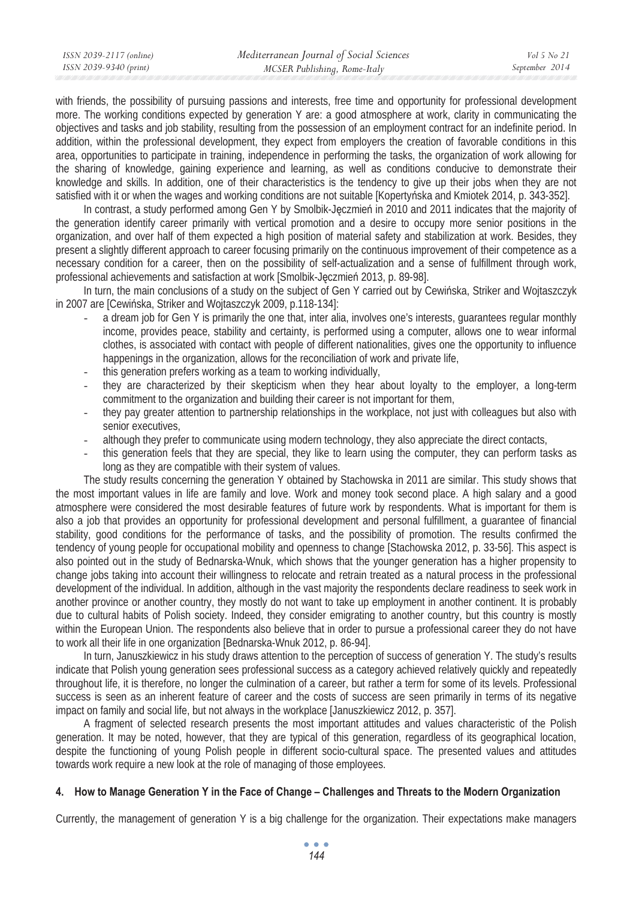| ISSN 2039-2117 (online) | Mediterranean Journal of Social Sciences | Vol 5 No 21    |
|-------------------------|------------------------------------------|----------------|
| ISSN 2039-9340 (print)  | MCSER Publishing, Rome-Italy             | September 2014 |
|                         |                                          |                |

with friends, the possibility of pursuing passions and interests, free time and opportunity for professional development more. The working conditions expected by generation Y are: a good atmosphere at work, clarity in communicating the objectives and tasks and job stability, resulting from the possession of an employment contract for an indefinite period. In addition, within the professional development, they expect from employers the creation of favorable conditions in this area, opportunities to participate in training, independence in performing the tasks, the organization of work allowing for the sharing of knowledge, gaining experience and learning, as well as conditions conducive to demonstrate their knowledge and skills. In addition, one of their characteristics is the tendency to give up their jobs when they are not satisfied with it or when the wages and working conditions are not suitable [Kopertyńska and Kmiotek 2014, p. 343-352].

In contrast, a study performed among Gen Y by Smolbik-Jeczmień in 2010 and 2011 indicates that the majority of the generation identify career primarily with vertical promotion and a desire to occupy more senior positions in the organization, and over half of them expected a high position of material safety and stabilization at work. Besides, they present a slightly different approach to career focusing primarily on the continuous improvement of their competence as a necessary condition for a career, then on the possibility of self-actualization and a sense of fulfillment through work, professional achievements and satisfaction at work [Smolbik-Jeczmień 2013, p. 89-98].

In turn, the main conclusions of a study on the subject of Gen Y carried out by Cewińska, Striker and Woitaszczyk in 2007 are [Cewińska, Striker and Wojtaszczyk 2009, p.118-134]:

- a dream job for Gen Y is primarily the one that, inter alia, involves one's interests, quarantees regular monthly income, provides peace, stability and certainty, is performed using a computer, allows one to wear informal clothes, is associated with contact with people of different nationalities, gives one the opportunity to influence happenings in the organization, allows for the reconciliation of work and private life,
- this generation prefers working as a team to working individually,
- they are characterized by their skepticism when they hear about loyalty to the employer, a long-term commitment to the organization and building their career is not important for them,
- they pay greater attention to partnership relationships in the workplace, not just with colleagues but also with senior executives,
- although they prefer to communicate using modern technology, they also appreciate the direct contacts,
- this generation feels that they are special, they like to learn using the computer, they can perform tasks as long as they are compatible with their system of values.

The study results concerning the generation Y obtained by Stachowska in 2011 are similar. This study shows that the most important values in life are family and love. Work and money took second place. A high salary and a good atmosphere were considered the most desirable features of future work by respondents. What is important for them is also a job that provides an opportunity for professional development and personal fulfillment, a guarantee of financial stability, good conditions for the performance of tasks, and the possibility of promotion. The results confirmed the tendency of young people for occupational mobility and openness to change [Stachowska 2012, p. 33-56]. This aspect is also pointed out in the study of Bednarska-Wnuk, which shows that the younger generation has a higher propensity to change jobs taking into account their willingness to relocate and retrain treated as a natural process in the professional development of the individual. In addition, although in the vast majority the respondents declare readiness to seek work in another province or another country, they mostly do not want to take up employment in another continent. It is probably due to cultural habits of Polish society. Indeed, they consider emigrating to another country, but this country is mostly within the European Union. The respondents also believe that in order to pursue a professional career they do not have to work all their life in one organization [Bednarska-Wnuk 2012, p. 86-94].

In turn, Januszkiewicz in his study draws attention to the perception of success of generation Y. The study's results indicate that Polish young generation sees professional success as a category achieved relatively quickly and repeatedly throughout life, it is therefore, no longer the culmination of a career, but rather a term for some of its levels. Professional success is seen as an inherent feature of career and the costs of success are seen primarily in terms of its negative impact on family and social life, but not always in the workplace [Januszkiewicz 2012, p. 357].

A fragment of selected research presents the most important attitudes and values characteristic of the Polish generation. It may be noted, however, that they are typical of this generation, regardless of its geographical location, despite the functioning of young Polish people in different socio-cultural space. The presented values and attitudes towards work require a new look at the role of managing of those employees.

## **4. How to Manage Generation Y in the Face of Change – Challenges and Threats to the Modern Organization**

Currently, the management of generation Y is a big challenge for the organization. Their expectations make managers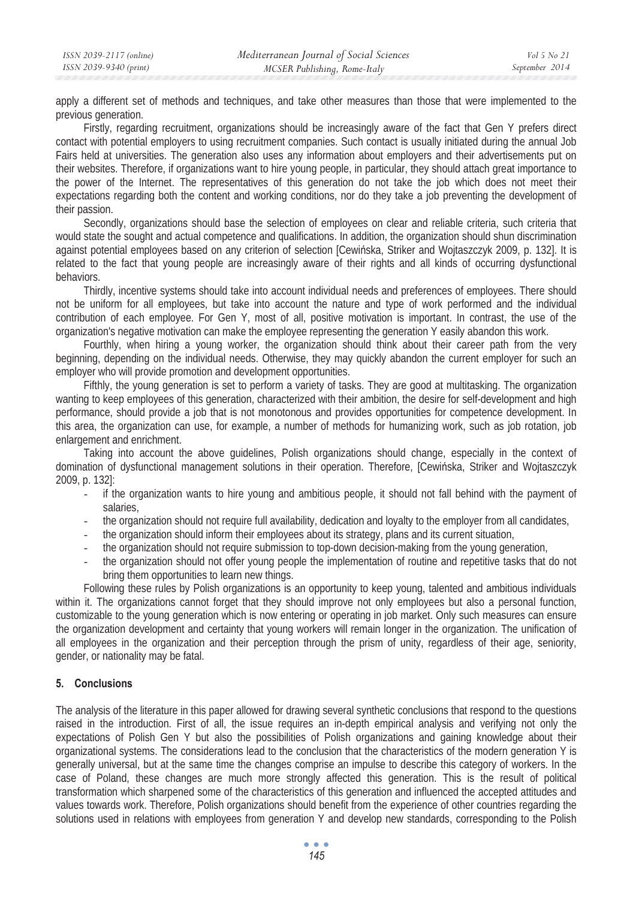apply a different set of methods and techniques, and take other measures than those that were implemented to the previous generation.

Firstly, regarding recruitment, organizations should be increasingly aware of the fact that Gen Y prefers direct contact with potential employers to using recruitment companies. Such contact is usually initiated during the annual Job Fairs held at universities. The generation also uses any information about employers and their advertisements put on their websites. Therefore, if organizations want to hire young people, in particular, they should attach great importance to the power of the Internet. The representatives of this generation do not take the job which does not meet their expectations regarding both the content and working conditions, nor do they take a job preventing the development of their passion.

Secondly, organizations should base the selection of employees on clear and reliable criteria, such criteria that would state the sought and actual competence and qualifications. In addition, the organization should shun discrimination against potential employees based on any criterion of selection [Cewińska, Striker and Wojtaszczyk 2009, p. 132]. It is related to the fact that young people are increasingly aware of their rights and all kinds of occurring dysfunctional behaviors.

Thirdly, incentive systems should take into account individual needs and preferences of employees. There should not be uniform for all employees, but take into account the nature and type of work performed and the individual contribution of each employee. For Gen Y, most of all, positive motivation is important. In contrast, the use of the organization's negative motivation can make the employee representing the generation Y easily abandon this work.

Fourthly, when hiring a young worker, the organization should think about their career path from the very beginning, depending on the individual needs. Otherwise, they may quickly abandon the current employer for such an employer who will provide promotion and development opportunities.

Fifthly, the young generation is set to perform a variety of tasks. They are good at multitasking. The organization wanting to keep employees of this generation, characterized with their ambition, the desire for self-development and high performance, should provide a job that is not monotonous and provides opportunities for competence development. In this area, the organization can use, for example, a number of methods for humanizing work, such as job rotation, job enlargement and enrichment.

Taking into account the above guidelines, Polish organizations should change, especially in the context of domination of dysfunctional management solutions in their operation. Therefore, [Cewińska, Striker and Wojtaszczyk 2009, p. 132]:

- if the organization wants to hire young and ambitious people, it should not fall behind with the payment of salaries,
- the organization should not require full availability, dedication and loyalty to the employer from all candidates,
- the organization should inform their employees about its strategy, plans and its current situation,
- the organization should not require submission to top-down decision-making from the young generation,
- the organization should not offer young people the implementation of routine and repetitive tasks that do not bring them opportunities to learn new things.

Following these rules by Polish organizations is an opportunity to keep young, talented and ambitious individuals within it. The organizations cannot forget that they should improve not only employees but also a personal function, customizable to the young generation which is now entering or operating in job market. Only such measures can ensure the organization development and certainty that young workers will remain longer in the organization. The unification of all employees in the organization and their perception through the prism of unity, regardless of their age, seniority, gender, or nationality may be fatal.

## **5. Conclusions**

The analysis of the literature in this paper allowed for drawing several synthetic conclusions that respond to the questions raised in the introduction. First of all, the issue requires an in-depth empirical analysis and verifying not only the expectations of Polish Gen Y but also the possibilities of Polish organizations and gaining knowledge about their organizational systems. The considerations lead to the conclusion that the characteristics of the modern generation Y is generally universal, but at the same time the changes comprise an impulse to describe this category of workers. In the case of Poland, these changes are much more strongly affected this generation. This is the result of political transformation which sharpened some of the characteristics of this generation and influenced the accepted attitudes and values towards work. Therefore, Polish organizations should benefit from the experience of other countries regarding the solutions used in relations with employees from generation Y and develop new standards, corresponding to the Polish